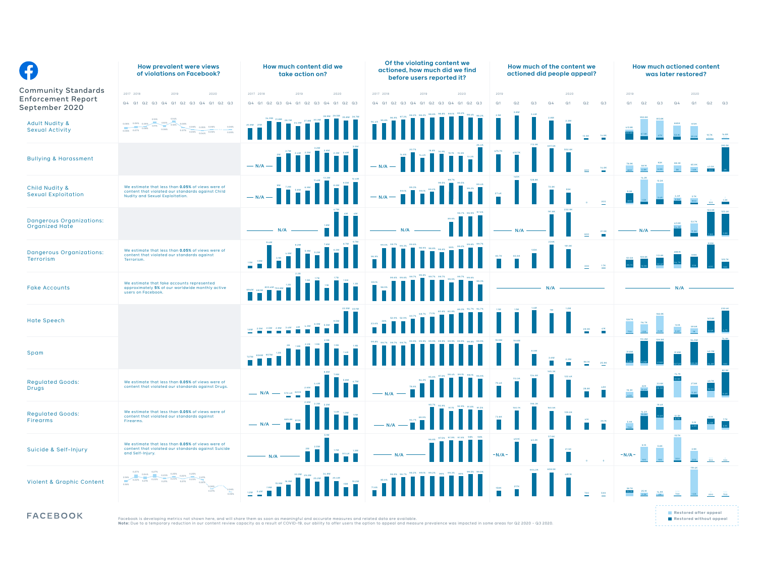| G                                                                         | How prevalent were views<br>of violations on Facebook?                                                                                         | How much content did we<br>take action on?                                                                                                                                                                                                                                                                                                                                                                                                                                                                            | Of the violating content we<br>actioned, how much did we find<br>before users reported it?                                                                                                                                                                                                                                                                                                                                                                                                                                    | How much of the content we<br>actioned did people appeal?                                                             | <b>How much actioned content</b><br>was later restored?                         |
|---------------------------------------------------------------------------|------------------------------------------------------------------------------------------------------------------------------------------------|-----------------------------------------------------------------------------------------------------------------------------------------------------------------------------------------------------------------------------------------------------------------------------------------------------------------------------------------------------------------------------------------------------------------------------------------------------------------------------------------------------------------------|-------------------------------------------------------------------------------------------------------------------------------------------------------------------------------------------------------------------------------------------------------------------------------------------------------------------------------------------------------------------------------------------------------------------------------------------------------------------------------------------------------------------------------|-----------------------------------------------------------------------------------------------------------------------|---------------------------------------------------------------------------------|
| <b>Community Standards</b><br><b>Enforcement Report</b><br>September 2020 | 2017 2018<br>2019<br>2020<br>Q4 Q1 Q2 Q3 Q4 Q1 Q2 Q3 Q4 Q1 Q2 Q3                                                                               | 2017 2018<br>2019<br>2020<br>Q4 Q1 Q2 Q3 Q4 Q1 Q2 Q3 Q4 Q1 Q2 Q3                                                                                                                                                                                                                                                                                                                                                                                                                                                      | 2017 2018<br>2019<br>2020<br>Q4 Q1 Q2 Q3 Q4 Q1 Q2 Q3 Q4 Q1 Q2 Q3                                                                                                                                                                                                                                                                                                                                                                                                                                                              | 2019<br>2020<br>Q <sub>1</sub><br>Q <sub>2</sub><br>Q3<br>$Q_4$<br>Q <sub>1</sub><br>Q <sub>2</sub><br>Q <sub>3</sub> | 2019<br>2020<br>Q2<br>Q3<br>Q <sub>1</sub><br>$Q2$ $Q3$<br>Q <sub>1</sub><br>Q4 |
| <b>Adult Nudity &amp;</b><br><b>Sexual Activity</b>                       | 0.11% 0.10% 0.12%<br>0.08% 0.06% 0.05% 0.06%                                                                                                   | $\begin{array}{ c c } \hline \multicolumn{1}{r}{20.8M} \quad & \multicolumn{1}{r}{21M} \quad \quad & \multicolumn{1}{r}{\quad} \quad \quad & \multicolumn{1}{r}{\quad} \quad \quad & \multicolumn{1}{r}{\quad} \quad \quad & \multicolumn{1}{r}{\quad} \quad \quad & \multicolumn{1}{r}{\quad} \quad \quad & \multicolumn{1}{r}{\quad} \quad \quad & \multicolumn{1}{r}{\quad} \quad \quad & \multicolumn{1}{r}{\quad} \quad \quad & \multicolumn{1}{r}{\quad} \quad \quad & \multicolumn{1}{r}{\quad} \quad \quad &$ | <b>THE SEARCH</b>                                                                                                                                                                                                                                                                                                                                                                                                                                                                                                             |                                                                                                                       |                                                                                 |
| <b>Bullying &amp; Harassment</b>                                          |                                                                                                                                                | $\begin{array}{ c c } \hline \multicolumn{3}{ c }{2.4M} \multicolumn{3}{ c }{2.4M} \multicolumn{3}{ c }{2.4M} \multicolumn{3}{ c }{2.4M} \multicolumn{3}{ c }{2.4M} \multicolumn{3}{ c }{2.4M} \multicolumn{3}{ c }{2.4M} \multicolumn{3}{ c }{2.4M} \multicolumn{3}{ c }{2.4M} \multicolumn{3}{ c }{2.4M} \multicolumn{3}{ c }{2.4M} \multicolumn{3}{ c }{2.4M} \multicolumn{3}{ c }{2.4$<br>$- N/A$                                                                                                                 | $\begin{array}{c} \bf 13.3\,K \\[1mm] \bf \end{array}$                                                                                                                                                                                                                                                                                                                                                                                                                                                                        |                                                                                                                       |                                                                                 |
| Child Nudity &<br><b>Sexual Exploitation</b>                              | We estimate that less than 0.05% of views were of<br>content that violated our standards against Child<br>Nudity and Sexual Exploitation.      | $- N/A$                                                                                                                                                                                                                                                                                                                                                                                                                                                                                                               | $\begin{array}{c c} 0.33 \\ -2.18 \\ \hline \end{array}$<br>$- N/A$                                                                                                                                                                                                                                                                                                                                                                                                                                                           |                                                                                                                       |                                                                                 |
| <b>Dangerous Organizations:</b><br>Organized Hate                         |                                                                                                                                                |                                                                                                                                                                                                                                                                                                                                                                                                                                                                                                                       |                                                                                                                                                                                                                                                                                                                                                                                                                                                                                                                               | N/A                                                                                                                   |                                                                                 |
| <b>Dangerous Organizations:</b><br>Terrorism                              | We estimate that less than 0.05% of views were of<br>content that violated our standards against<br>Terrorism.                                 |                                                                                                                                                                                                                                                                                                                                                                                                                                                                                                                       |                                                                                                                                                                                                                                                                                                                                                                                                                                                                                                                               | 83.6K                                                                                                                 |                                                                                 |
| <b>Fake Accounts</b>                                                      | We estimate that fake accounts represented<br>approximately 5% of our worldwide monthly active<br>users on Facebook.                           |                                                                                                                                                                                                                                                                                                                                                                                                                                                                                                                       | 99.1%<br><b>All Parish</b>                                                                                                                                                                                                                                                                                                                                                                                                                                                                                                    | N/A                                                                                                                   | N/A                                                                             |
| <b>Hate Speech</b>                                                        |                                                                                                                                                |                                                                                                                                                                                                                                                                                                                                                                                                                                                                                                                       |                                                                                                                                                                                                                                                                                                                                                                                                                                                                                                                               |                                                                                                                       |                                                                                 |
| Spam                                                                      |                                                                                                                                                | $\frac{1.4B}{1}$<br>$\begin{array}{c c} \mathbf{727M} & \mathbf{836M} \end{array}$                                                                                                                                                                                                                                                                                                                                                                                                                                    |                                                                                                                                                                                                                                                                                                                                                                                                                                                                                                                               |                                                                                                                       |                                                                                 |
| <b>Regulated Goods:</b><br>Drugs                                          | We estimate that less than 0.05% of views were of<br>content that violated our standards against Drugs.                                        |                                                                                                                                                                                                                                                                                                                                                                                                                                                                                                                       |                                                                                                                                                                                                                                                                                                                                                                                                                                                                                                                               |                                                                                                                       |                                                                                 |
| <b>Regulated Goods:</b><br>Firearms                                       | We estimate that less than 0.05% of views were of<br>content that violated our standards against<br>Firearms.                                  |                                                                                                                                                                                                                                                                                                                                                                                                                                                                                                                       |                                                                                                                                                                                                                                                                                                                                                                                                                                                                                                                               |                                                                                                                       |                                                                                 |
| Suicide & Self-Injury                                                     | We estimate that less than 0.05% of views were of<br>content that violated our standards against Suicide<br>and Self-Injury.                   |                                                                                                                                                                                                                                                                                                                                                                                                                                                                                                                       |                                                                                                                                                                                                                                                                                                                                                                                                                                                                                                                               | $-N/A -$                                                                                                              | $-N/A -$                                                                        |
| <b>Violent &amp; Graphic Content</b>                                      | 0.278 0.28% 0.23% 0.23% 0.22% 0.22% 0.23%                                                                                                      |                                                                                                                                                                                                                                                                                                                                                                                                                                                                                                                       | $\begin{array}{c c} & \text{if.s.} \\ \hline & & \\ \hline & & \\ \hline & & \\ \hline & & \\ \hline & & \\ \hline & & \\ \hline & & \\ \hline & & \\ \hline & & \\ \hline & & \\ \hline & & \\ \hline & & \\ \hline & & \\ \hline & & \\ \hline & & \\ \hline & & \\ \hline & & \\ \hline & & \\ \hline & & \\ \hline & & \\ \hline & & \\ \hline & & \\ \hline & & \\ \hline & & \\ \hline & & \\ \hline & & \\ \hline & & \\ \hline & & \\ \hline & & \\ \hline & & \\ \hline & & \\ \hline & & \\ \hline & & \\ \hline &$ |                                                                                                                       |                                                                                 |
| <b>FACEBOOK</b>                                                           | Facebook is developing metrics not shown here, and will share them as soon as meaningful and accurate measures and related data are available. |                                                                                                                                                                                                                                                                                                                                                                                                                                                                                                                       | Note: Due to a temporary reduction in our content review capacity as a result of COVID-19, our ability to offer users the option to appeal and measure prevalence was impacted in some areas for Q2 2020 - Q3 2020.                                                                                                                                                                                                                                                                                                           |                                                                                                                       | Restored after appeal<br>Restored without appeal                                |